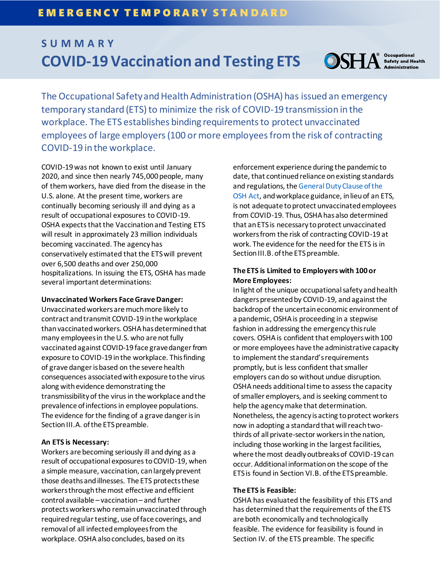# **S U M M A R Y OSHA** Safety and Health **COVID-19 Vaccination and Testing ETS**

The Occupational Safety and Health Administration (OSHA) has issued an emergency temporary standard (ETS) to minimize the risk of COVID-19 transmission in the workplace. The ETS establishes binding requirements to protect unvaccinated employees of large employers (100 or more employees from the risk of contracting COVID-19 in the workplace.

COVID-19 was not known to exist until January 2020, and since then nearly 745,000 people, many of them workers, have died from the disease in the U.S. alone. At the present time, workers are continually becoming seriously ill and dying as a result of occupational exposures to COVID-19. OSHA expects that the Vaccination and Testing ETS will result in approximately 23 million individuals becoming vaccinated. The agency has conservatively estimated that the ETS will prevent over 6,500 deaths and over 250,000 hospitalizations. In issuing the ETS, OSHA has made several important determinations:

#### **Unvaccinated Workers Face Grave Danger:**

Unvaccinated workers are much more likely to contract and transmit COVID-19 in the workplace than vaccinated workers. OSHA has determined that many employees in the U.S. who are not fully vaccinated against COVID-19 face grave danger from exposure to COVID-19 in the workplace. This finding of grave danger is based on the severe health consequences associated with exposure to the virus along with evidence demonstrating the transmissibility of the virus in the workplace and the prevalence of infections in employee populations. The evidence for the finding of a grave danger is in Section III.A. of the ETS preamble.

#### **An ETS is Necessary:**

Workers are becoming seriously ill and dying as a result of occupational exposures to COVID-19, when a simple measure, vaccination, can largely prevent those deaths and illnesses. The ETS protects these workers through the most effective and efficient control available – vaccination – and further protects workers who remain unvaccinated through required regular testing, use of face coverings, and removal of all infected employees from the workplace. OSHA also concludes, based on its

enforcement experience during the pandemic to date, that continued reliance on existing standards and regulations, th[e General Duty Clause of the](https://www.osha.gov/laws-regs/oshact/section5-duties)  [OSH](https://www.osha.gov/laws-regs/oshact/section5-duties) Act, and workplace guidance, in lieu of an ETS, is not adequate to protect unvaccinated employees from COVID-19. Thus, OSHA has also determined that an ETS is necessary to protect unvaccinated workers from the risk of contracting COVID-19 at work. The evidence for the need for the ETS is in Section III.B.of the ETS preamble.

### **The ETS is Limited to Employers with 100 or More Employees:**

In light of the unique occupational safety and health dangers presented by COVID-19, and against the backdrop of the uncertain economic environment of a pandemic, OSHA is proceeding in a stepwise fashion in addressing the emergency this rule covers. OSHA is confident that employers with 100 or more employees have the administrative capacity to implement the standard's requirements promptly, but is less confident that smaller employers can do so without undue disruption. OSHA needs additional time to assess the capacity of smaller employers, and is seeking comment to help the agency make that determination. Nonetheless, the agency is acting to protect workers now in adopting a standard that will reach twothirds of all private-sector workers in the nation, including those working in the largest facilities, where the most deadly outbreaks of COVID-19 can occur. Additional information on the scope of the ETS is found in Section VI.B. of the ETS preamble.

#### **The ETS is Feasible:**

OSHA has evaluated the feasibility of this ETS and has determined that the requirements of the ETS are both economically and technologically feasible. The evidence for feasibility is found in Section IV. of the ETS preamble. The specific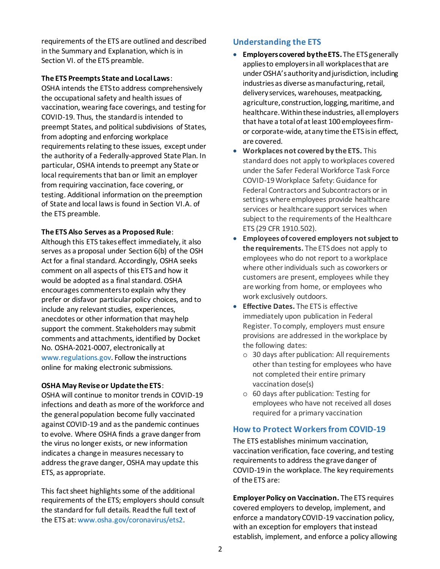requirements of the ETS are outlined and described in the Summary and Explanation, which is in Section VI. of the ETS preamble.

### **The ETS Preempts State and Local Laws**:

OSHA intends the ETS to address comprehensively the occupational safety and health issues of vaccination, wearing face coverings, and testing for COVID-19. Thus, the standard is intended to preempt States, and political subdivisions of States, from adopting and enforcing workplace requirements relating to these issues, except under the authority of a Federally-approved State Plan. In particular, OSHA intends to preempt any State or local requirements that ban or limit an employer from requiring vaccination, face covering, or testing. Additional information on the preemption of State and local laws is found in Section VI.A. of the ETS preamble.

### **The ETS Also Serves as a Proposed Rule**:

Although this ETS takes effect immediately, it also serves as a proposal under Section 6(b) of the OSH Act for a final standard. Accordingly, OSHA seeks comment on all aspects of this ETS and how it would be adopted as a final standard. OSHA encourages commenters to explain why they prefer or disfavor particular policy choices, and to include any relevant studies, experiences, anecdotes or other information that may help support the comment. Stakeholders may submit comments and attachments, identified by Docket No. OSHA-2021-0007, electronically at [www.regulations.gov.](http://www.regulations.gov/) Follow the instructions online for making electronic submissions.

### **OSHA May Revise or Update the ETS**:

OSHA will continue to monitor trends in COVID-19 infections and death as more of the workforce and the general population become fully vaccinated against COVID-19 and as the pandemic continues to evolve. Where OSHA finds a grave danger from the virus no longer exists, or new information indicates a change in measures necessary to address the grave danger, OSHA may update this ETS, as appropriate.

This fact sheet highlights some of the additional requirements of the ETS; employers should consult the standard for full details. Read the full text of the ETS at[: www.osha.gov/coronavirus/ets2.](https://www.osha.gov/coronavirus/ets2)

## **Understanding the ETS**

- **Employers covered by the ETS.** The ETS generally applies to employers in all workplaces that are under OSHA's authority and jurisdiction, including industries as diverse as manufacturing, retail, delivery services, warehouses, meatpacking, agriculture, construction, logging, maritime, and healthcare. Within these industries, all employers that have a total of at least 100 employees firmor corporate-wide, at any time the ETS is in effect, are covered.
- **Workplaces not covered by the ETS.** This standard does not apply to workplaces covered under the Safer Federal Workforce Task Force COVID-19 Workplace Safety: Guidance for Federal Contractors and Subcontractors or in settings where employees provide healthcare services or healthcare support services when subject to the requirements of the Healthcare ETS (29 CFR 1910.502).
- **Employees of covered employers not subject to the requirements.** The ETS does not apply to employees who do not report to a workplace where other individuals such as coworkers or customers are present, employees while they are working from home, or employees who work exclusively outdoors.
- **Effective Dates.** The ETS is effective immediately upon publication in Federal Register. To comply, employers must ensure provisions are addressed in the workplace by the following dates:
	- o 30 days after publication: All requirements other than testing for employees who have not completed their entire primary vaccination dose(s)
	- o 60 days after publication: Testing for employees who have not received all doses required for a primary vaccination

## **How to Protect Workers from COVID-19**

The ETS establishes minimum vaccination, vaccination verification, face covering, and testing requirements to address the grave danger of COVID-19 in the workplace. The key requirements of the ETS are:

**Employer Policy on Vaccination.** The ETS requires covered employers to develop, implement, and enforce a mandatory COVID-19 vaccination policy, with an exception for employers that instead establish, implement, and enforce a policy allowing